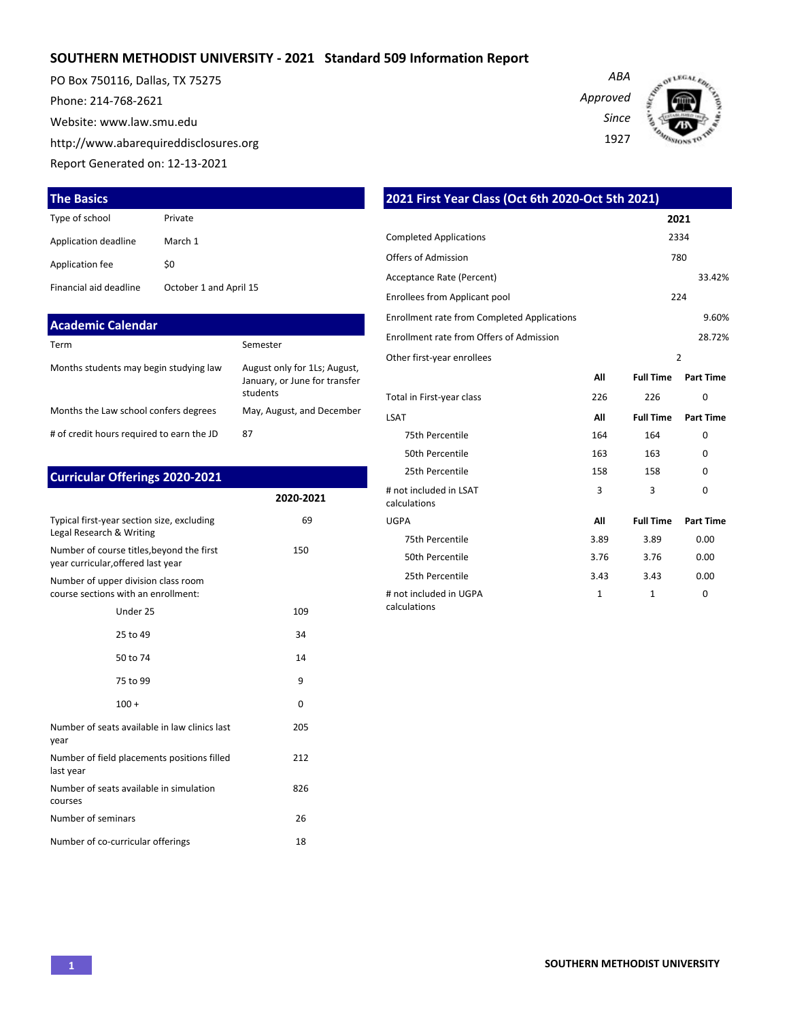## **SOUTHERN METHODIST UNIVERSITY - 2021 Standard 509 Information Report**

PO Box 750116, Dallas, TX 75275 Phone: 214-768-2621 Website: www.law.smu.edu http://www.abarequireddisclosures.org Report Generated on: 12-13-2021

| ARA      |  |
|----------|--|
| Approved |  |
| Since    |  |
| 1927     |  |



| <b>The Basics</b>        |                        | 2021 First Year Class (Oct 6th 2020-Oct 5th 2021) |
|--------------------------|------------------------|---------------------------------------------------|
| Type of school           | Private                |                                                   |
| Application deadline     | March 1                | <b>Completed Applications</b>                     |
| Application fee          | \$0                    | Offers of Admission                               |
|                          |                        | Acceptance Rate (Percent)                         |
| Financial aid deadline   | October 1 and April 15 | Enrollees from Applicant pool                     |
| <b>Academic Calendar</b> |                        | Enrollment rate from Completed Applications       |

| Term                                      | Semester                                                                  |
|-------------------------------------------|---------------------------------------------------------------------------|
| Months students may begin studying law    | August only for 1Ls; August,<br>January, or June for transfer<br>students |
| Months the Law school confers degrees     | May, August, and December                                                 |
| # of credit hours required to earn the JD | 87                                                                        |

| <b>Curricular Offerings 2020-2021</b>                                           |           |
|---------------------------------------------------------------------------------|-----------|
|                                                                                 | 2020-2021 |
| Typical first-year section size, excluding<br>Legal Research & Writing          | 69        |
| Number of course titles, beyond the first<br>year curricular, offered last year | 150       |
| Number of upper division class room<br>course sections with an enrollment:      |           |
| Under 25                                                                        | 109       |
| 25 to 49                                                                        | 34        |
| 50 to 74                                                                        | 14        |
| 75 to 99                                                                        | 9         |
| $100 +$                                                                         | 0         |
| Number of seats available in law clinics last<br>year                           | 205       |
| Number of field placements positions filled<br>last year                        | 212       |
| Number of seats available in simulation<br>courses                              | 826       |
| Number of seminars                                                              | 26        |
| Number of co-curricular offerings                                               | 18        |

| <u>2021 First Tear Class (Oct our 2020-Oct stil 2021)</u> |              |                  |                  |  |
|-----------------------------------------------------------|--------------|------------------|------------------|--|
|                                                           |              |                  | 2021             |  |
| <b>Completed Applications</b><br>2334                     |              |                  |                  |  |
| Offers of Admission                                       |              |                  | 780              |  |
| Acceptance Rate (Percent)                                 |              |                  | 33.42%           |  |
| Enrollees from Applicant pool                             |              |                  | 224              |  |
| <b>Enrollment rate from Completed Applications</b>        |              |                  | 9.60%            |  |
| Enrollment rate from Offers of Admission                  |              |                  | 28.72%           |  |
| Other first-year enrollees                                |              |                  | $\overline{2}$   |  |
|                                                           | All          | <b>Full Time</b> | <b>Part Time</b> |  |
| Total in First-year class                                 | 226          | 226              | $\Omega$         |  |
| LSAT                                                      | All          | <b>Full Time</b> | <b>Part Time</b> |  |
| 75th Percentile                                           | 164          | 164              | 0                |  |
| 50th Percentile                                           | 163          | 163              | $\Omega$         |  |
| 25th Percentile                                           | 158          | 158              | $\Omega$         |  |
| # not included in LSAT<br>calculations                    | 3            | 3                | $\Omega$         |  |
| <b>UGPA</b>                                               | All          | <b>Full Time</b> | <b>Part Time</b> |  |
| 75th Percentile                                           | 3.89         | 3.89             | 0.00             |  |
| 50th Percentile                                           | 3.76         | 3.76             | 0.00             |  |
| 25th Percentile                                           | 3.43         | 3.43             | 0.00             |  |
| # not included in UGPA                                    | $\mathbf{1}$ | 1                | 0                |  |

calculations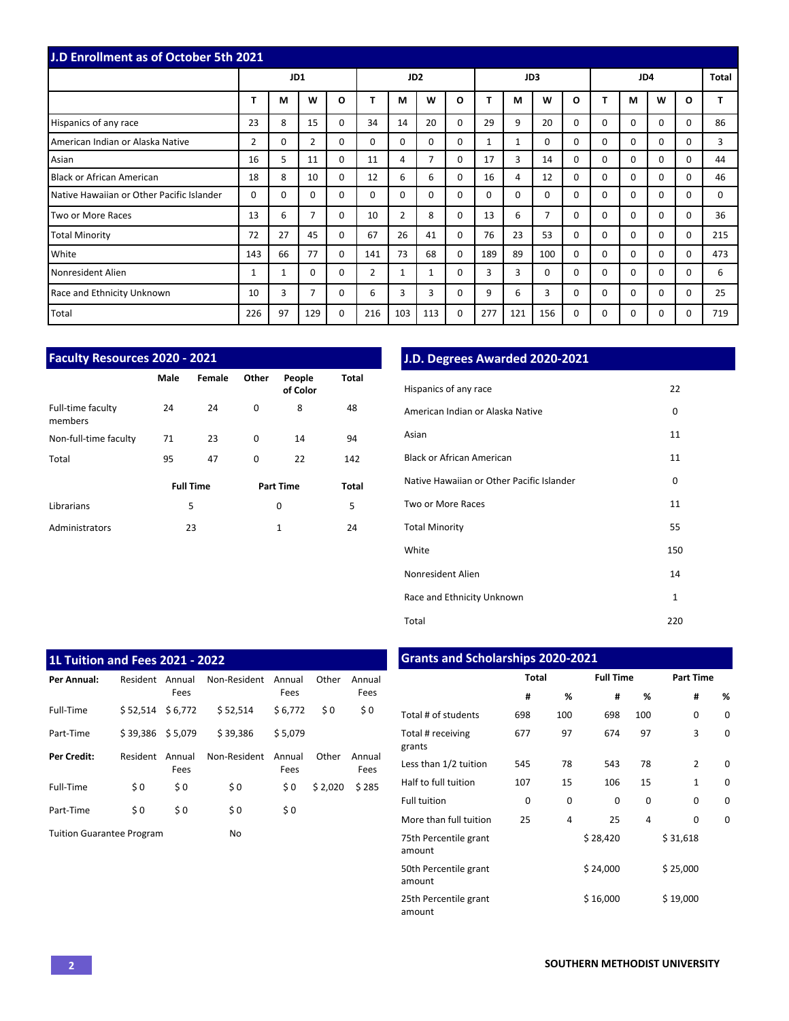| <b>J.D Enrollment as of October 5th 2021</b> |                |          |                |          |                 |                |          |          |     |     |                |          |          |          |          |          |     |
|----------------------------------------------|----------------|----------|----------------|----------|-----------------|----------------|----------|----------|-----|-----|----------------|----------|----------|----------|----------|----------|-----|
|                                              |                |          | JD1            |          | JD <sub>2</sub> |                |          | JD3      |     |     |                | JD4      |          |          | Total    |          |     |
|                                              | T              | M        | W              | O        |                 | M              | W        | O        |     | М   | W              | O        | т        | м        | W        | O        |     |
| Hispanics of any race                        | 23             | 8        | 15             | $\Omega$ | 34              | 14             | 20       | $\Omega$ | 29  | 9   | 20             | $\Omega$ | $\Omega$ | $\Omega$ | $\Omega$ | $\Omega$ | 86  |
| American Indian or Alaska Native             | $\overline{2}$ | $\Omega$ | $\overline{2}$ | $\Omega$ | $\Omega$        | $\Omega$       | $\Omega$ | $\Omega$ | 1   | 1   | $\Omega$       | $\Omega$ | $\Omega$ | $\Omega$ | $\Omega$ | $\Omega$ | 3   |
| Asian                                        | 16             | 5        | 11             | $\Omega$ | 11              | 4              | 7        | $\Omega$ | 17  | 3   | 14             | $\Omega$ | $\Omega$ | $\Omega$ | $\Omega$ | $\Omega$ | 44  |
| Black or African American                    | 18             | 8        | 10             | $\Omega$ | 12              | 6              | 6        | $\Omega$ | 16  | 4   | 12             | $\Omega$ | 0        | $\Omega$ | $\Omega$ | $\Omega$ | 46  |
| Native Hawaiian or Other Pacific Islander    | 0              | $\Omega$ | $\Omega$       | 0        | $\Omega$        | $\Omega$       | $\Omega$ | $\Omega$ | 0   | 0   | $\mathbf 0$    | $\Omega$ | $\Omega$ | $\Omega$ | $\Omega$ | $\Omega$ | 0   |
| Two or More Races                            | 13             | 6        | 7              | $\Omega$ | 10              | $\overline{2}$ | 8        | $\Omega$ | 13  | 6   | $\overline{7}$ | $\Omega$ | $\Omega$ | $\Omega$ | $\Omega$ | $\Omega$ | 36  |
| <b>Total Minority</b>                        | 72             | 27       | 45             | $\Omega$ | 67              | 26             | 41       | $\Omega$ | 76  | 23  | 53             | $\Omega$ | $\Omega$ | $\Omega$ | $\Omega$ | $\Omega$ | 215 |
| White                                        | 143            | 66       | 77             | $\Omega$ | 141             | 73             | 68       | $\Omega$ | 189 | 89  | 100            | $\Omega$ | $\Omega$ | $\Omega$ | $\Omega$ | $\Omega$ | 473 |
| Nonresident Alien                            | 1              | 1        | $\Omega$       | $\Omega$ | $\overline{2}$  | $\mathbf{1}$   | 1        | $\Omega$ | 3   | 3   | $\Omega$       | $\Omega$ | $\Omega$ | $\Omega$ | $\Omega$ | $\Omega$ | 6   |
| Race and Ethnicity Unknown                   | 10             | 3        | 7              | 0        | 6               | 3              | 3        | $\Omega$ | 9   | 6   | 3              | $\Omega$ | $\Omega$ | $\Omega$ | $\Omega$ | $\Omega$ | 25  |
| Total                                        | 226            | 97       | 129            | 0        | 216             | 103            | 113      | 0        | 277 | 121 | 156            | $\Omega$ | 0        | $\Omega$ | $\Omega$ | $\Omega$ | 719 |

| <b>Faculty Resources 2020 - 2021</b> |      |                  |       |                    |              |  |  |
|--------------------------------------|------|------------------|-------|--------------------|--------------|--|--|
|                                      | Male | Female           | Other | People<br>of Color | <b>Total</b> |  |  |
| Full-time faculty<br>members         | 24   | 24               | 0     | 8                  | 48           |  |  |
| Non-full-time faculty                | 71   | 23               | 0     | 14                 | 94           |  |  |
| Total                                | 95   | 47               | 0     | 22                 | 142          |  |  |
|                                      |      | <b>Full Time</b> |       | <b>Part Time</b>   | <b>Total</b> |  |  |
| Librarians                           | 5    |                  |       | 0                  | 5            |  |  |
| Administrators                       |      | 23               |       | $\mathbf{1}$       | 24           |  |  |

## **J.D. Degrees Awarded 2020-2021**

| Hispanics of any race                     | 22           |
|-------------------------------------------|--------------|
| American Indian or Alaska Native          | 0            |
| Asian                                     | 11           |
| <b>Black or African American</b>          | 11           |
| Native Hawaiian or Other Pacific Islander | 0            |
| Two or More Races                         | 11           |
| <b>Total Minority</b>                     | 55           |
| White                                     | 150          |
| Nonresident Alien                         | 14           |
| Race and Ethnicity Unknown                | $\mathbf{1}$ |
| Total                                     | 220          |

| <b>1L Tuition and Fees 2021 - 2022</b> |                    |                |              |                |         |                |  |  |
|----------------------------------------|--------------------|----------------|--------------|----------------|---------|----------------|--|--|
| Per Annual:                            | Resident           | Annual<br>Fees | Non-Resident | Annual<br>Fees | Other   | Annual<br>Fees |  |  |
| Full-Time                              | \$52,514           | \$6,772        | \$52.514     | \$6.772        | \$0     | \$0            |  |  |
| Part-Time                              | $$39,386$ $$5,079$ |                | \$39,386     | \$5.079        |         |                |  |  |
| <b>Per Credit:</b>                     | Resident           | Annual<br>Fees | Non-Resident | Annual<br>Fees | Other   | Annual<br>Fees |  |  |
| Full-Time                              | \$0                | \$0            | \$0          | \$0            | \$2,020 | \$285          |  |  |
| Part-Time                              | \$0                | \$0            | \$0          | \$0            |         |                |  |  |
| <b>Tuition Guarantee Program</b>       |                    |                | No           |                |         |                |  |  |

## **Grants and Scholarships 2020-2021**

|                                 | <b>Total</b> |     | <b>Full Time</b> |     | <b>Part Time</b> |          |  |
|---------------------------------|--------------|-----|------------------|-----|------------------|----------|--|
|                                 | #            | %   | #                | %   | #                | %        |  |
| Total # of students             | 698          | 100 | 698              | 100 | 0                | $\Omega$ |  |
| Total # receiving<br>grants     | 677          | 97  | 674              | 97  | 3                | 0        |  |
| Less than 1/2 tuition           | 545          | 78  | 543              | 78  | $\overline{2}$   | $\Omega$ |  |
| Half to full tuition            | 107          | 15  | 106              | 15  | 1                | $\Omega$ |  |
| <b>Full tuition</b>             | 0            | 0   | 0                | 0   | 0                | 0        |  |
| More than full tuition          | 25           | 4   | 25               | 4   | 0                | 0        |  |
| 75th Percentile grant<br>amount |              |     | \$28,420         |     | \$31,618         |          |  |
| 50th Percentile grant<br>amount |              |     | \$24,000         |     | \$25,000         |          |  |
| 25th Percentile grant<br>amount |              |     | \$16,000         |     | \$19,000         |          |  |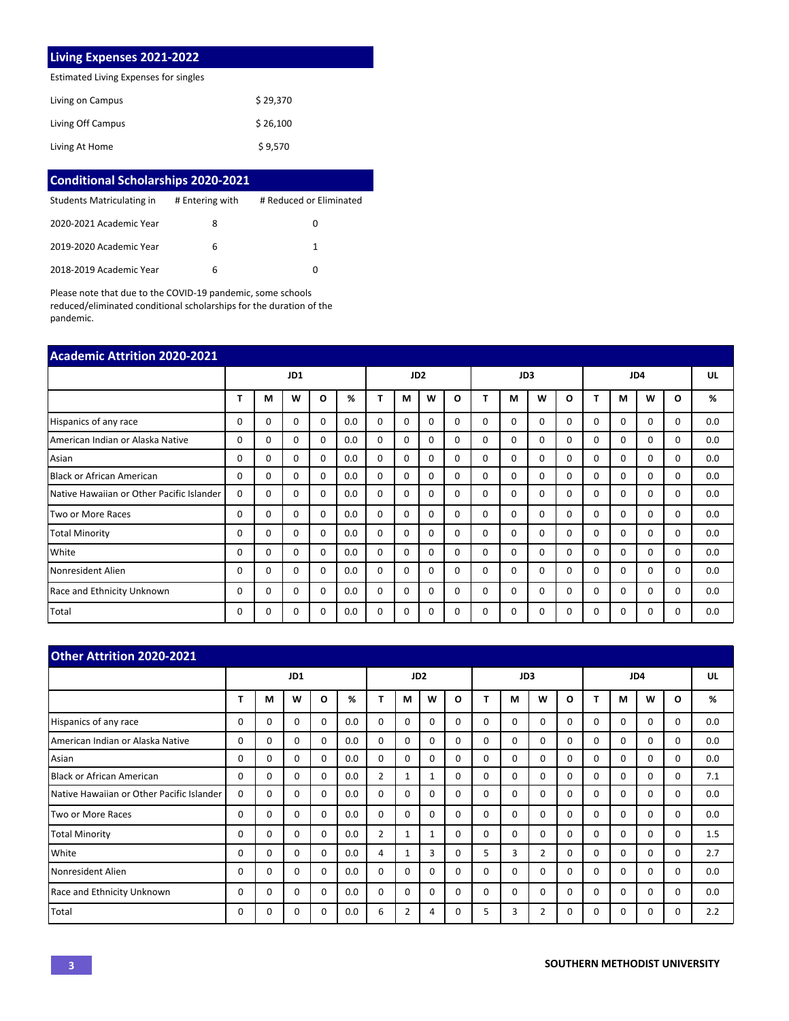## **Living Expenses 2021-2022**

Estimated Living Expenses for singles

| Living on Campus  | \$29.370 |
|-------------------|----------|
| Living Off Campus | \$26,100 |
| Living At Home    | \$9,570  |

| <b>Conditional Scholarships 2020-2021</b> |                 |                         |  |  |  |  |  |
|-------------------------------------------|-----------------|-------------------------|--|--|--|--|--|
| Students Matriculating in                 | # Entering with | # Reduced or Eliminated |  |  |  |  |  |
| 2020-2021 Academic Year                   | 8               | 0                       |  |  |  |  |  |
| 2019-2020 Academic Year                   | 6               | 1                       |  |  |  |  |  |
| 2018-2019 Academic Year                   | 6               | O                       |  |  |  |  |  |

Please note that due to the COVID-19 pandemic, some schools reduced/eliminated conditional scholarships for the duration of the pandemic.

| <b>Academic Attrition 2020-2021</b>       |              |   |              |          |                 |             |          |          |          |          |          |          |          |          |          |          |          |     |
|-------------------------------------------|--------------|---|--------------|----------|-----------------|-------------|----------|----------|----------|----------|----------|----------|----------|----------|----------|----------|----------|-----|
|                                           | JD1          |   |              |          | JD <sub>2</sub> |             |          |          | JD3      |          |          |          | JD4      |          |          |          | UL       |     |
|                                           | т            | М | W            | O        | %               | т           | м        | w        | $\Omega$ |          | М        | W        | $\Omega$ |          | М        | W        | O        | %   |
| Hispanics of any race                     | $\Omega$     | 0 | 0            | $\Omega$ | 0.0             | $\mathbf 0$ | $\Omega$ | $\Omega$ | $\Omega$ | $\Omega$ | $\Omega$ | $\Omega$ | 0        | $\Omega$ | $\Omega$ | $\Omega$ | $\Omega$ | 0.0 |
| American Indian or Alaska Native          | $\Omega$     | 0 | $\Omega$     | 0        | 0.0             | $\Omega$    | $\Omega$ | $\Omega$ | $\Omega$ | $\Omega$ | $\Omega$ | $\Omega$ | $\Omega$ | $\Omega$ | $\Omega$ | $\Omega$ | $\Omega$ | 0.0 |
| Asian                                     | $\Omega$     | 0 | 0            | 0        | 0.0             | $\Omega$    | $\Omega$ | $\Omega$ | $\Omega$ | $\Omega$ | $\Omega$ | $\Omega$ | $\Omega$ | $\Omega$ | $\Omega$ | $\Omega$ | $\Omega$ | 0.0 |
| <b>Black or African American</b>          | 0            | 0 | 0            | 0        | 0.0             | $\mathbf 0$ | $\Omega$ | $\Omega$ | $\Omega$ | $\Omega$ | $\Omega$ | $\Omega$ | 0        | $\Omega$ | $\Omega$ | $\Omega$ | 0        | 0.0 |
| Native Hawaiian or Other Pacific Islander | 0            | 0 | 0            | 0        | 0.0             | 0           | 0        | $\Omega$ | $\Omega$ | $\Omega$ | 0        | $\Omega$ | 0        | $\Omega$ | 0        | $\Omega$ | $\Omega$ | 0.0 |
| Two or More Races                         | 0            | 0 | <sup>0</sup> | 0        | 0.0             | $\Omega$    | $\Omega$ | $\Omega$ | $\Omega$ | $\Omega$ | $\Omega$ | $\Omega$ | 0        | $\Omega$ | $\Omega$ | $\Omega$ | $\Omega$ | 0.0 |
| <b>Total Minority</b>                     | 0            | 0 | 0            | 0        | 0.0             | $\Omega$    | $\Omega$ | $\Omega$ | $\Omega$ | $\Omega$ | $\Omega$ | $\Omega$ | 0        | $\Omega$ | $\Omega$ | $\Omega$ | $\Omega$ | 0.0 |
| White                                     | 0            | 0 | 0            | 0        | 0.0             | 0           | 0        | $\Omega$ | $\Omega$ | $\Omega$ | 0        | $\Omega$ | $\Omega$ | $\Omega$ | $\Omega$ | $\Omega$ | 0        | 0.0 |
| Nonresident Alien                         | 0            | 0 | 0            | 0        | 0.0             | $\Omega$    | $\Omega$ | 0        | 0        | $\Omega$ | $\Omega$ | 0        | 0        | $\Omega$ | $\Omega$ | $\Omega$ | $\Omega$ | 0.0 |
| Race and Ethnicity Unknown                | <sup>0</sup> | 0 | <sup>0</sup> | 0        | 0.0             | $\Omega$    | $\Omega$ | $\Omega$ | $\Omega$ | $\Omega$ | $\Omega$ | $\Omega$ | 0        | $\Omega$ | $\Omega$ | $\Omega$ | $\Omega$ | 0.0 |
| Total                                     | 0            | 0 | 0            | 0        | 0.0             | 0           | 0        |          | 0        | 0        | $\Omega$ | 0        | O        | $\Omega$ | $\Omega$ | $\Omega$ | $\Omega$ | 0.0 |

| <b>Other Attrition 2020-2021</b>          |          |          |          |          |                 |                |              |              |          |          |          |                |     |          |          |          |          |     |
|-------------------------------------------|----------|----------|----------|----------|-----------------|----------------|--------------|--------------|----------|----------|----------|----------------|-----|----------|----------|----------|----------|-----|
|                                           | JD1      |          |          |          | JD <sub>2</sub> |                |              |              | JD3      |          |          |                | JD4 |          |          |          | UL       |     |
|                                           | т        | М        | W        | $\Omega$ | %               | т              | М            | W            | O        |          | М        | W              | O   |          | м        | W        | O        | %   |
| Hispanics of any race                     | $\Omega$ | 0        | 0        | 0        | 0.0             | $\Omega$       | $\Omega$     | $\Omega$     | $\Omega$ | $\Omega$ | $\Omega$ | 0              | 0   | $\Omega$ | $\Omega$ | $\Omega$ | $\Omega$ | 0.0 |
| American Indian or Alaska Native          | $\Omega$ | 0        | $\Omega$ | $\Omega$ | 0.0             | $\Omega$       | $\Omega$     | 0            | $\Omega$ | $\Omega$ | $\Omega$ | $\Omega$       | 0   | $\Omega$ | $\Omega$ | $\Omega$ | $\Omega$ | 0.0 |
| Asian                                     | $\Omega$ | 0        | $\Omega$ | 0        | 0.0             | $\Omega$       | $\Omega$     | 0            | $\Omega$ | $\Omega$ | 0        | 0              | 0   | $\Omega$ | $\Omega$ | $\Omega$ | $\Omega$ | 0.0 |
| Black or African American                 | 0        | 0        | $\Omega$ | $\Omega$ | 0.0             | $\overline{2}$ | 1            |              | $\Omega$ | $\Omega$ | $\Omega$ | $\Omega$       | 0   | $\Omega$ | $\Omega$ | $\Omega$ | $\Omega$ | 7.1 |
| Native Hawaiian or Other Pacific Islander | 0        | 0        | $\Omega$ | 0        | 0.0             | $\mathbf 0$    | 0            | 0            | 0        | $\Omega$ | 0        | 0              | 0   | $\Omega$ | 0        | $\Omega$ | $\Omega$ | 0.0 |
| Two or More Races                         | 0        | 0        | 0        | $\Omega$ | 0.0             | $\mathbf 0$    | $\Omega$     | $\Omega$     | $\Omega$ | $\Omega$ | $\Omega$ | 0              | 0   | $\Omega$ | $\Omega$ | $\Omega$ | $\Omega$ | 0.0 |
| <b>Total Minority</b>                     | $\Omega$ | 0        | 0        | 0        | 0.0             | $\overline{2}$ | $\mathbf{1}$ | $\mathbf{1}$ | $\Omega$ | $\Omega$ | $\Omega$ | 0              | 0   | $\Omega$ | $\Omega$ | $\Omega$ | 0        | 1.5 |
| White                                     | 0        | 0        | $\Omega$ | 0        | 0.0             | 4              | $\mathbf{1}$ | 3            | 0        | 5        | 3        | $\overline{2}$ | 0   | 0        | 0        | $\Omega$ | $\Omega$ | 2.7 |
| Nonresident Alien                         | $\Omega$ | 0        | $\Omega$ | $\Omega$ | 0.0             | $\Omega$       | $\Omega$     | 0            | $\Omega$ | $\Omega$ | $\Omega$ | 0              | 0   | $\Omega$ | $\Omega$ | $\Omega$ | $\Omega$ | 0.0 |
| Race and Ethnicity Unknown                | 0        | $\Omega$ | $\Omega$ | $\Omega$ | 0.0             | $\Omega$       | $\Omega$     | $\Omega$     | $\Omega$ | $\Omega$ | $\Omega$ | $\Omega$       | 0   | $\Omega$ | $\Omega$ | $\Omega$ | $\Omega$ | 0.0 |
| Total                                     | 0        | $\Omega$ | 0        | $\Omega$ | 0.0             | 6              | 2            | 4            | $\Omega$ | 5        | 3        | $\overline{2}$ | U   | $\Omega$ | $\Omega$ | $\Omega$ | O        | 2.2 |